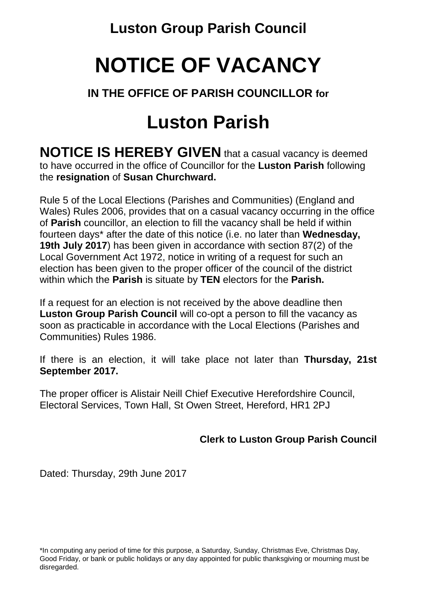**Luston Group Parish Council**

## **NOTICE OF VACANCY**

### **IN THE OFFICE OF PARISH COUNCILLOR for**

## **Luston Parish**

**NOTICE IS HEREBY GIVEN** that a casual vacancy is deemed to have occurred in the office of Councillor for the **Luston Parish** following the **resignation** of **Susan Churchward.**

Rule 5 of the Local Elections (Parishes and Communities) (England and Wales) Rules 2006, provides that on a casual vacancy occurring in the office of **Parish** councillor, an election to fill the vacancy shall be held if within fourteen days\* after the date of this notice (i.e. no later than **Wednesday, 19th July 2017**) has been given in accordance with section 87(2) of the Local Government Act 1972, notice in writing of a request for such an election has been given to the proper officer of the council of the district within which the **Parish** is situate by **TEN** electors for the **Parish.**

If a request for an election is not received by the above deadline then **Luston Group Parish Council** will co-opt a person to fill the vacancy as soon as practicable in accordance with the Local Elections (Parishes and Communities) Rules 1986.

If there is an election, it will take place not later than **Thursday, 21st September 2017.**

The proper officer is Alistair Neill Chief Executive Herefordshire Council, Electoral Services, Town Hall, St Owen Street, Hereford, HR1 2PJ

**Clerk to Luston Group Parish Council**

Dated: Thursday, 29th June 2017